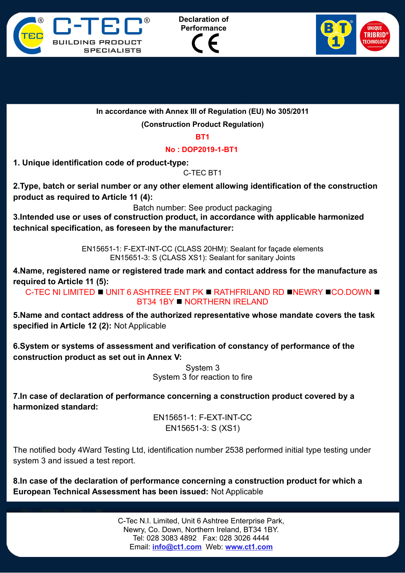





**In accordance with Annex III of Regulation (EU) No 305/2011**

**(Construction Product Regulation)**

**BT1**

**No : DOP2019-1-BT1** 

**1. Unique identification code of product-type:**

C-TEC BT1

**2.Type, batch or serial number or any other element allowing identification of the construction product as required to Article 11 (4):**

Batch number: See product packaging

**3.Intended use or uses of construction product, in accordance with applicable harmonized technical specification, as foreseen by the manufacturer:**

> EN15651-1: F-EXT-INT-CC (CLASS 20HM): Sealant for façade elements EN15651-3: S (CLASS XS1): Sealant for sanitary Joints

**4.Name, registered name or registered trade mark and contact address for the manufacture as required to Article 11 (5):**

C-TEC NI LIMITED I UNIT 6 ASHTREE ENT PK I RATHFRILAND RD INEWRY ICO.DOWN I BT34 1BY NORTHERN IRELAND

**5.Name and contact address of the authorized representative whose mandate covers the task specified in Article 12 (2):** Not Applicable

**6.System or systems of assessment and verification of constancy of performance of the construction product as set out in Annex V:**

> System 3 System 3 for reaction to fire

**7.In case of declaration of performance concerning a construction product covered by a harmonized standard:**

> EN15651-1: F-EXT-INT-CC EN15651-3: S (XS1)

The notified body 4Ward Testing Ltd, identification number 2538 performed initial type testing under system 3 and issued a test report.

**8.In case of the declaration of performance concerning a construction product for which a European Technical Assessment has been issued:** Not Applicable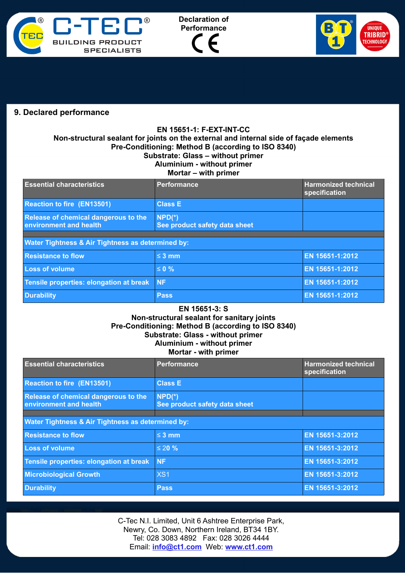





## **9. Declared performance**

## **EN 15651-1: F-EXT-INT-CC Non-structural sealant for joints on the external and internal side of façade elements Pre-Conditioning: Method B (according to ISO 8340) Substrate: Glass – without primer Aluminium - without primer Mortar – with primer**

| <b>Essential characteristics</b>                               | <b>Performance</b>                        | <b>Harmonized technical</b><br>specification |  |  |
|----------------------------------------------------------------|-------------------------------------------|----------------------------------------------|--|--|
| <b>Reaction to fire (EN13501)</b>                              | <b>Class E</b>                            |                                              |  |  |
| Release of chemical dangerous to the<br>environment and health | $NPD(*)$<br>See product safety data sheet |                                              |  |  |
|                                                                |                                           |                                              |  |  |
| <b>Water Tightness &amp; Air Tightness as determined by:</b>   |                                           |                                              |  |  |
| <b>Resistance to flow</b>                                      | $\leq$ 3 mm                               | EN 15651-1:2012                              |  |  |
| $\overline{1}$ and $\overline{2}$ is $\overline{3}$            | $\sim$ 0.0/                               | ENLAECEA A.OOAO                              |  |  |

| <b>Loss of volume</b>                      | $\leq$ 0 %  | <b>EN 15651-1:2012</b> |
|--------------------------------------------|-------------|------------------------|
| Tensile properties: elongation at break NF |             | <b>EN 15651-1:2012</b> |
| <b>Durability</b>                          | <b>Pass</b> | EN 15651-1:2012        |

## **EN 15651-3: S Non-structural sealant for sanitary joints Pre-Conditioning: Method B (according to ISO 8340) Substrate: Glass - without primer Aluminium - without primer**

## **Mortar - with primer**

| <b>Essential characteristics</b>                               | Performance                               | <b>Harmonized technical</b><br>specification |  |
|----------------------------------------------------------------|-------------------------------------------|----------------------------------------------|--|
| <b>Reaction to fire (EN13501)</b>                              | <b>Class E</b>                            |                                              |  |
| Release of chemical dangerous to the<br>environment and health | $NPD(*)$<br>See product safety data sheet |                                              |  |
|                                                                |                                           |                                              |  |
| Water Tightness & Air Tightness as determined by:              |                                           |                                              |  |
| <b>Resistance to flow</b>                                      | $\leq$ 3 mm                               | EN 15651-3:2012                              |  |
| <b>Loss of volume</b>                                          | $\leq 20 \%$                              | EN 15651-3:2012                              |  |
| Tensile properties: elongation at break                        | <b>NF</b>                                 | EN 15651-3:2012                              |  |
| <b>Microbiological Growth</b>                                  | XS <sub>1</sub>                           | EN 15651-3:2012                              |  |
| <b>Durability</b>                                              | <b>Pass</b>                               | EN 15651-3:2012                              |  |

C-Tec N.I. Limited, Unit 6 Ashtree Enterprise Park, Newry, Co. Down, Northern Ireland, BT34 1BY. Tel: 028 3083 4892 Fax: 028 3026 4444 Email: **[info@ct1.com](mailto:info@ct1ltd.com)** Web: **www.ct1.com**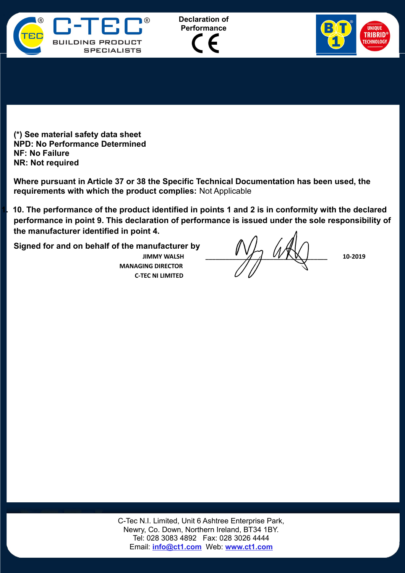





**(\*) See material safety data sheet NPD: No Performance Determined NF: No Failure NR: Not required**

**Where pursuant in Article 37 or 38 the Specific Technical Documentation has been used, the requirements with which the product complies:** Not Applicable

**1. 10. The performance of the product identified in points 1 and 2 is in conformity with the declared performance in point 9. This declaration of performance is issued under the sole responsibility of the manufacturer identified in point 4.**

**Signed for and on behalf of the manufacturer by**

 **MANAGING DIRECTOR C-TEC NI LIMITED**

 $\mathcal{W} \times \mathcal{W} \times \mathcal{W} \times \mathcal{W} \times \mathcal{W} \times \mathcal{W} \times \mathcal{W} \times \mathcal{W} \times \mathcal{W} \times \mathcal{W} \times \mathcal{W} \times \mathcal{W} \times \mathcal{W} \times \mathcal{W} \times \mathcal{W} \times \mathcal{W} \times \mathcal{W} \times \mathcal{W} \times \mathcal{W} \times \mathcal{W} \times \mathcal{W} \times \mathcal{W} \times \mathcal{W} \times \mathcal{W} \times \mathcal{W} \times \mathcal{W} \times \mathcal{W} \times \mathcal{$ 

C-Tec N.I. Limited, Unit 6 Ashtree Enterprise Park, Newry, Co. Down, Northern Ireland, BT34 1BY. Tel: 028 3083 4892 Fax: 028 3026 4444 Email: **[info@ct1.com](mailto:info@ct1ltd.com)** Web: **www.ct1.com**